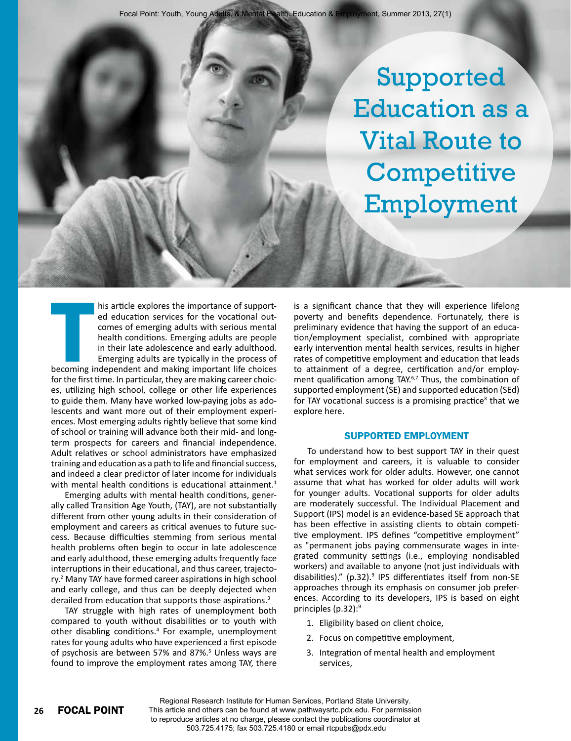Supported Education as a Vital Route to **Competitive** Employment

THE SERVER THE SERVER THE SERVER THE SERVER THE SERVER THE SERVER THE SERVER THE SERVER THE SERVER THE SERVER THE SERVER THE SERVER THE SERVER THE SERVER THE SERVER THE SERVER THE SERVER THE SERVER THE SERVER THE SERVER TH his article explores the importance of supported education services for the vocational outcomes of emerging adults with serious mental health conditions. Emerging adults are people in their late adolescence and early adulthood. Emerging adults are typically in the process of becoming independent and making important life choices for the first time. In particular, they are making career choices, utilizing high school, college or other life experiences to guide them. Many have worked low-paying jobs as adolescents and want more out of their employment experiences. Most emerging adults rightly believe that some kind of school or training will advance both their mid- and longterm prospects for careers and financial independence. Adult relatives or school administrators have emphasized training and education as a path to life and financial success, and indeed a clear predictor of later income for individuals with mental health conditions is educational attainment.<sup>1</sup>

Emerging adults with mental health conditions, generally called Transition Age Youth, (TAY), are not substantially different from other young adults in their consideration of employment and careers as critical avenues to future success. Because difficulties stemming from serious mental health problems often begin to occur in late adolescence and early adulthood, these emerging adults frequently face interruptions in their educational, and thus career, trajectory.<sup>2</sup> Many TAY have formed career aspirations in high school and early college, and thus can be deeply dejected when derailed from education that supports those aspirations.<sup>3</sup>

TAY struggle with high rates of unemployment both compared to youth without disabilities or to youth with other disabling conditions.<sup>4</sup> For example, unemployment rates for young adults who have experienced a first episode of psychosis are between 57% and 87%.<sup>5</sup> Unless ways are found to improve the employment rates among TAY, there

is a significant chance that they will experience lifelong poverty and benefits dependence. Fortunately, there is preliminary evidence that having the support of an education/employment specialist, combined with appropriate early intervention mental health services, results in higher rates of competitive employment and education that leads to attainment of a degree, certification and/or employment qualification among TAY.<sup>6,7</sup> Thus, the combination of supported employment (SE) and supported education (SEd) for TAY vocational success is a promising practice<sup>8</sup> that we explore here.

#### Supported Employment

To understand how to best support TAY in their quest for employment and careers, it is valuable to consider what services work for older adults. However, one cannot assume that what has worked for older adults will work for younger adults. Vocational supports for older adults are moderately successful. The Individual Placement and Support (IPS) model is an evidence-based SE approach that has been effective in assisting clients to obtain competitive employment. IPS defines "competitive employment" as "permanent jobs paying commensurate wages in integrated community settings (i.e., employing nondisabled workers) and available to anyone (not just individuals with disabilities)." (p.32).<sup>9</sup> IPS differentiates itself from non-SE approaches through its emphasis on consumer job preferences. According to its developers, IPS is based on eight principles (p.32):9

- 1. Eligibility based on client choice,
- 2. Focus on competitive employment,
- 3. Integration of mental health and employment services,

Regional Research Institute for Human Services, Portland State University. This article and others can be found at www.pathwaysrtc.pdx.edu. For permission to reproduce articles at no charge, please contact the publications coordinator at 503.725.4175; fax 503.725.4180 or email rtcpubs@pdx.edu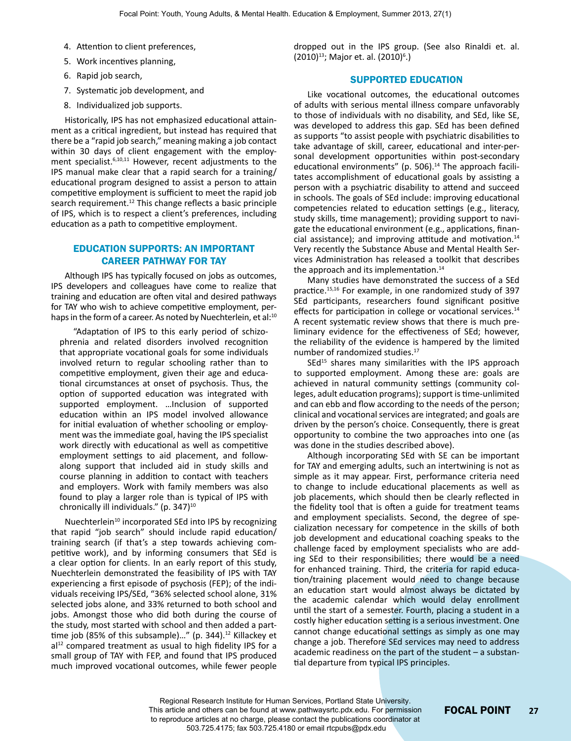- 4. Attention to client preferences,
- 5. Work incentives planning,
- 6. Rapid job search,
- 7. Systematic job development, and
- 8. Individualized job supports.

Historically, IPS has not emphasized educational attainment as a critical ingredient, but instead has required that there be a "rapid job search," meaning making a job contact within 30 days of client engagement with the employment specialist.<sup>6,10,11</sup> However, recent adjustments to the IPS manual make clear that a rapid search for a training/ educational program designed to assist a person to attain competitive employment is sufficient to meet the rapid job search requirement.<sup>12</sup> This change reflects a basic principle of IPS, which is to respect a client's preferences, including education as a path to competitive employment.

## Education Supports: An Important Career Pathway for TAY

Although IPS has typically focused on jobs as outcomes, IPS developers and colleagues have come to realize that training and education are often vital and desired pathways for TAY who wish to achieve competitive employment, perhaps in the form of a career. As noted by Nuechterlein, et al:<sup>10</sup>

"Adaptation of IPS to this early period of schizophrenia and related disorders involved recognition that appropriate vocational goals for some individuals involved return to regular schooling rather than to competitive employment, given their age and educational circumstances at onset of psychosis. Thus, the option of supported education was integrated with supported employment. …Inclusion of supported education within an IPS model involved allowance for initial evaluation of whether schooling or employment was the immediate goal, having the IPS specialist work directly with educational as well as competitive employment settings to aid placement, and followalong support that included aid in study skills and course planning in addition to contact with teachers and employers. Work with family members was also found to play a larger role than is typical of IPS with chronically ill individuals."  $(p. 347)^{10}$ 

Nuechterlein<sup>10</sup> incorporated SEd into IPS by recognizing that rapid "job search" should include rapid education/ training search (if that's a step towards achieving competitive work), and by informing consumers that SEd is a clear option for clients. In an early report of this study, Nuechterlein demonstrated the feasibility of IPS with TAY experiencing a first episode of psychosis (FEP); of the individuals receiving IPS/SEd, "36% selected school alone, 31% selected jobs alone, and 33% returned to both school and jobs. Amongst those who did both during the course of the study, most started with school and then added a parttime job (85% of this subsample)..." (p. 344). $12$  Killackey et  $al<sup>12</sup>$  compared treatment as usual to high fidelity IPS for a small group of TAY with FEP, and found that IPS produced much improved vocational outcomes, while fewer people dropped out in the IPS group. (See also Rinaldi et. al. (2010)<sup>13</sup>; Major et. al. (2010)<sup>6</sup>.)

#### Supported Education

Like vocational outcomes, the educational outcomes of adults with serious mental illness compare unfavorably to those of individuals with no disability, and SEd, like SE, was developed to address this gap. SEd has been defined as supports "to assist people with psychiatric disabilities to take advantage of skill, career, educational and inter-personal development opportunities within post-secondary educational environments" (p. 506). $14$  The approach facilitates accomplishment of educational goals by assisting a person with a psychiatric disability to attend and succeed in schools. The goals of SEd include: improving educational competencies related to education settings (e.g., literacy, study skills, time management); providing support to navigate the educational environment (e.g., applications, financial assistance); and improving attitude and motivation.14 Very recently the Substance Abuse and Mental Health Services Administration has released a toolkit that describes the approach and its implementation.<sup>14</sup>

Many studies have demonstrated the success of a SEd practice.15,16 For example, in one randomized study of 397 SEd participants, researchers found significant positive effects for participation in college or vocational services.<sup>14</sup> A recent systematic review shows that there is much preliminary evidence for the effectiveness of SEd; however, the reliability of the evidence is hampered by the limited number of randomized studies.17

 $SEd<sup>15</sup>$  shares many similarities with the IPS approach to supported employment. Among these are: goals are achieved in natural community settings (community colleges, adult education programs); support is time-unlimited and can ebb and flow according to the needs of the person; clinical and vocational services are integrated; and goals are driven by the person's choice. Consequently, there is great opportunity to combine the two approaches into one (as was done in the studies described above).

Although incorporating SEd with SE can be important for TAY and emerging adults, such an intertwining is not as simple as it may appear. First, performance criteria need to change to include educational placements as well as job placements, which should then be clearly reflected in the fidelity tool that is often a guide for treatment teams and employment specialists. Second, the degree of specialization necessary for competence in the skills of both job development and educational coaching speaks to the challenge faced by employment specialists who are adding SEd to their responsibilities; there would be a need for enhanced training. Third, the criteria for rapid education/training placement would need to change because an education start would almost always be dictated by the academic calendar which would delay enrollment until the start of a semester. Fourth, placing a student in a costly higher education setting is a serious investment. One cannot change educational settings as simply as one may change a job. Therefore SEd services may need to address academic readiness on the part of the student – a substantial departure from typical IPS principles.